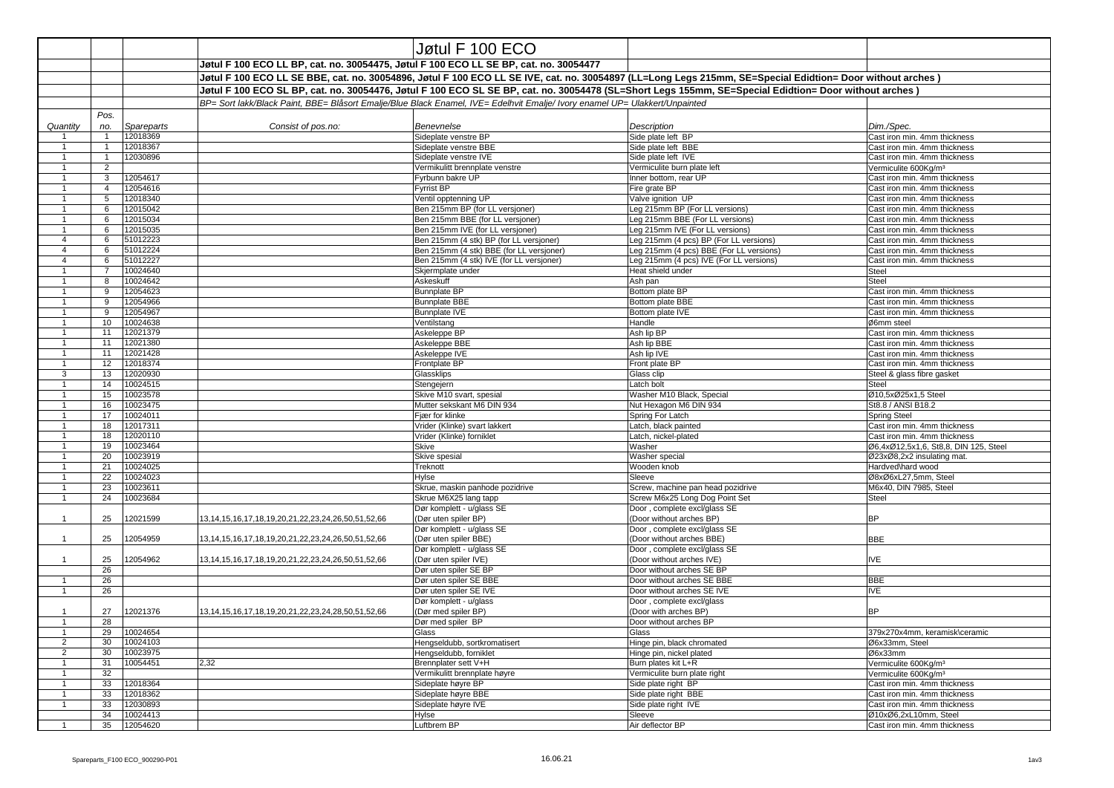|                |                |                      |                                                                                       | Jøtul F $100$ ECO                                                                                                           |                                                                                                                                                           |                                                                       |
|----------------|----------------|----------------------|---------------------------------------------------------------------------------------|-----------------------------------------------------------------------------------------------------------------------------|-----------------------------------------------------------------------------------------------------------------------------------------------------------|-----------------------------------------------------------------------|
|                |                |                      | Jøtul F 100 ECO LL BP, cat. no. 30054475, Jøtul F 100 ECO LL SE BP, cat. no. 30054477 |                                                                                                                             |                                                                                                                                                           |                                                                       |
|                |                |                      |                                                                                       |                                                                                                                             | Jøtul F 100 ECO LL SE BBE, cat. no. 30054896, Jøtul F 100 ECO LL SE IVE, cat. no. 30054897 (LL=Long Legs 215mm, SE=Special Edidtion= Door without arches) |                                                                       |
|                |                |                      |                                                                                       |                                                                                                                             | Jøtul F 100 ECO SL BP, cat. no. 30054476, Jøtul F 100 ECO SL SE BP, cat. no. 30054478 (SL=Short Legs 155mm, SE=Special Edidtion= Door without arches)     |                                                                       |
|                |                |                      |                                                                                       | BP= Sort lakk/Black Paint, BBE= Blåsort Emalje/Blue Black Enamel, IVE= Edelhvit Emalje/ Ivory enamel UP= Ulakkert/Unpainted |                                                                                                                                                           |                                                                       |
|                | Pos.           |                      |                                                                                       |                                                                                                                             |                                                                                                                                                           |                                                                       |
| Quantity       | no.            | Spareparts           | Consist of pos.no:                                                                    | Benevnelse                                                                                                                  | <b>Description</b>                                                                                                                                        | Dim./Spec.                                                            |
|                |                | 12018369             |                                                                                       | Sideplate venstre BP                                                                                                        | Side plate left BP                                                                                                                                        | Cast iron min. 4mm thickness                                          |
|                |                | 12018367             |                                                                                       | Sideplate venstre BBE                                                                                                       | Side plate left BBE                                                                                                                                       | Cast iron min. 4mm thickness                                          |
|                |                | 12030896             |                                                                                       | Sideplate venstre IVE                                                                                                       | Side plate left IVE                                                                                                                                       | Cast iron min. 4mm thickness                                          |
|                | $\overline{2}$ |                      |                                                                                       | Vermikulitt brennplate venstre                                                                                              | Vermiculite burn plate left                                                                                                                               | Vermiculite 600Kg/m <sup>3</sup>                                      |
|                | 3              | 12054617<br>12054616 |                                                                                       | Fyrbunn bakre UP<br>Fyrrist BP                                                                                              | Inner bottom, rear UP<br>Fire grate BP                                                                                                                    | Cast iron min. 4mm thickness<br>Cast iron min. 4mm thickness          |
|                | 5              | 12018340             |                                                                                       | Ventil opptenning UP                                                                                                        | Valve ignition UP                                                                                                                                         | Cast iron min. 4mm thickness                                          |
|                | 6              | 12015042             |                                                                                       | Ben 215mm BP (for LL versjoner)                                                                                             | Leg 215mm BP (For LL versions)                                                                                                                            | Cast iron min. 4mm thickness                                          |
|                | 6              | 12015034             |                                                                                       | Ben 215mm BBE (for LL versjoner)                                                                                            | Leg 215mm BBE (For LL versions)                                                                                                                           | Cast iron min. 4mm thickness                                          |
|                | 6              | 12015035             |                                                                                       | Ben 215mm IVE (for LL versjoner)                                                                                            | Leg 215mm IVE (For LL versions)                                                                                                                           | Cast iron min. 4mm thickness                                          |
|                | 6              | 51012223             |                                                                                       | Ben 215mm (4 stk) BP (for LL versjoner)                                                                                     | Leg 215mm (4 pcs) BP (For LL versions)                                                                                                                    | Cast iron min. 4mm thickness                                          |
|                | 6              | 51012224             |                                                                                       | Ben 215mm (4 stk) BBE (for LL versjoner)                                                                                    | Leg 215mm (4 pcs) BBE (For LL versions)                                                                                                                   | Cast iron min. 4mm thickness                                          |
|                | 6              | 51012227<br>10024640 |                                                                                       | Ben 215mm (4 stk) IVE (for LL versjoner)<br>Skjermplate under                                                               | Leg 215mm (4 pcs) IVE (For LL versions)<br>Heat shield under                                                                                              | Cast iron min. 4mm thickness<br>Steel                                 |
|                | 8              | 10024642             |                                                                                       | Askeskuff                                                                                                                   | Ash pan                                                                                                                                                   | Steel                                                                 |
|                | 9              | 12054623             |                                                                                       | <b>Bunnplate BP</b>                                                                                                         | Bottom plate BP                                                                                                                                           | Cast iron min. 4mm thickness                                          |
|                | 9              | 12054966             |                                                                                       | <b>Bunnplate BBE</b>                                                                                                        | Bottom plate BBE                                                                                                                                          | Cast iron min. 4mm thickness                                          |
|                | 9              | 12054967             |                                                                                       | <b>Bunnplate IVE</b>                                                                                                        | Bottom plate IVE                                                                                                                                          | Cast iron min. 4mm thickness                                          |
|                | 10             | 10024638             |                                                                                       | Ventilstang                                                                                                                 | Handle                                                                                                                                                    | Ø6mm steel                                                            |
|                | 11             | 12021379             |                                                                                       | Askeleppe BP                                                                                                                | Ash lip BP                                                                                                                                                | Cast iron min. 4mm thickness                                          |
|                | 11             | 12021380             |                                                                                       | Askeleppe BBE                                                                                                               | Ash lip BBE                                                                                                                                               | Cast iron min. 4mm thickness                                          |
|                | 11<br>12       | 12021428<br>12018374 |                                                                                       | Askeleppe IVE<br>Frontplate BP                                                                                              | Ash lip IVE<br>Front plate BP                                                                                                                             | Cast iron min. 4mm thickness<br>Cast iron min. 4mm thickness          |
| 3              | 13             | 12020930             |                                                                                       | Glassklips                                                                                                                  | Glass clip                                                                                                                                                | Steel & glass fibre gasket                                            |
|                | 14             | 10024515             |                                                                                       | Stengejern                                                                                                                  | Latch bolt                                                                                                                                                | Steel                                                                 |
|                | 15             | 10023578             |                                                                                       | Skive M10 svart, spesial                                                                                                    | Washer M10 Black, Special                                                                                                                                 | Ø10,5xØ25x1,5 Steel                                                   |
|                | 16             | 10023475             |                                                                                       | Mutter sekskant M6 DIN 934                                                                                                  | Nut Hexagon M6 DIN 934                                                                                                                                    | St8.8 / ANSI B18.2                                                    |
|                | 17             | 10024011             |                                                                                       | Fiær for klinke                                                                                                             | Spring For Latch                                                                                                                                          | <b>Spring Steel</b>                                                   |
|                | 18             | 12017311             |                                                                                       | Vrider (Klinke) svart lakkert                                                                                               | Latch, black painted                                                                                                                                      | Cast iron min. 4mm thickness                                          |
|                | 18<br>19       | 12020110<br>10023464 |                                                                                       | Vrider (Klinke) forniklet<br>Skive                                                                                          | Latch, nickel-plated<br>Washer                                                                                                                            | Cast iron min. 4mm thickness<br>Ø6,4xØ12,5x1,6, St8,8, DIN 125, Steel |
|                | 20             | 10023919             |                                                                                       | Skive spesial                                                                                                               | <b>Washer special</b>                                                                                                                                     | Ø23xØ8,2x2 insulating mat.                                            |
|                | 21             | 10024025             |                                                                                       | Treknott                                                                                                                    | Wooden knob                                                                                                                                               | Hardved\hard wood                                                     |
|                | 22             | 10024023             |                                                                                       | Hylse                                                                                                                       | Sleeve                                                                                                                                                    | Ø8xØ6xL27,5mm, Steel                                                  |
|                | 23             | 10023611             |                                                                                       | Skrue, maskin panhode pozidrive                                                                                             | Screw, machine pan head pozidrive                                                                                                                         | M6x40, DIN 7985, Steel                                                |
|                | 24             | 10023684             |                                                                                       | Skrue M6X25 lang tapp                                                                                                       | Screw M6x25 Long Dog Point Set                                                                                                                            | Steel                                                                 |
|                |                |                      |                                                                                       | Dør komplett - u/glass SE                                                                                                   | Door, complete excl/glass SE                                                                                                                              |                                                                       |
|                | 25             | 12021599             | 13, 14, 15, 16, 17, 18, 19, 20, 21, 22, 23, 24, 26, 50, 51, 52, 66                    | (Dør uten spiler BP)<br>Dør komplett - u/glass SE                                                                           | (Door without arches BP)<br>Door, complete excl/glass SE                                                                                                  | <b>BP</b>                                                             |
|                | 25             | 12054959             | 13, 14, 15, 16, 17, 18, 19, 20, 21, 22, 23, 24, 26, 50, 51, 52, 66                    | (Dør uten spiler BBE)                                                                                                       | (Door without arches BBE)                                                                                                                                 | <b>BBE</b>                                                            |
|                |                |                      |                                                                                       | Dør komplett - u/glass SE                                                                                                   | Door, complete excl/glass SE                                                                                                                              |                                                                       |
|                | 25             | 12054962             | 13, 14, 15, 16, 17, 18, 19, 20, 21, 22, 23, 24, 26, 50, 51, 52, 66                    | (Dør uten spiler IVE)                                                                                                       | (Door without arches IVE)                                                                                                                                 | <b>IVE</b>                                                            |
|                | 26             |                      |                                                                                       | Dør uten spiler SE BP                                                                                                       | Door without arches SE BP                                                                                                                                 |                                                                       |
|                | 26             |                      |                                                                                       | Dør uten spiler SE BBE                                                                                                      | Door without arches SE BBE                                                                                                                                | <b>BBE</b>                                                            |
|                | 26             |                      |                                                                                       | Dør uten spiler SE IVE                                                                                                      | Door without arches SE IVE                                                                                                                                | <b>IVE</b>                                                            |
|                | 27             | 12021376             | 13, 14, 15, 16, 17, 18, 19, 20, 21, 22, 23, 24, 28, 50, 51, 52, 66                    | Dør komplett - u/glass<br>(Dør med spiler BP)                                                                               | Door, complete excl/glass<br>(Door with arches BP)                                                                                                        | <b>BP</b>                                                             |
|                | 28             |                      |                                                                                       | Dør med spiler BP                                                                                                           | Door without arches BP                                                                                                                                    |                                                                       |
|                | 29             | 10024654             |                                                                                       | Glass                                                                                                                       | Glass                                                                                                                                                     | 379x270x4mm, keramisk\ceramic                                         |
| 2              | 30             | 10024103             |                                                                                       | Hengseldubb, sortkromatisert                                                                                                | Hinge pin, black chromated                                                                                                                                | Ø6x33mm, Steel                                                        |
| $\overline{2}$ | 30             | 10023975             |                                                                                       | Hengseldubb, forniklet                                                                                                      | Hinge pin, nickel plated                                                                                                                                  | Ø6x33mm                                                               |
|                | 31             | 10054451             | 2,32                                                                                  | Brennplater sett V+H                                                                                                        | Burn plates kit L+R                                                                                                                                       | Vermiculite 600Kg/m <sup>3</sup>                                      |
|                | 32             |                      |                                                                                       | Vermikulitt brennplate høyre                                                                                                | Vermiculite burn plate right                                                                                                                              | Vermiculite 600Kg/m <sup>3</sup>                                      |
|                | 33<br>33       | 12018364<br>12018362 |                                                                                       | Sideplate høyre BP<br>Sideplate høyre BBE                                                                                   | Side plate right BP                                                                                                                                       | Cast iron min. 4mm thickness<br>Cast iron min. 4mm thickness          |
|                | 33             | 12030893             |                                                                                       | Sideplate høyre IVE                                                                                                         | Side plate right BBE<br>Side plate right IVE                                                                                                              | Cast iron min. 4mm thickness                                          |
|                | 34             | 10024413             |                                                                                       | Hylse                                                                                                                       | Sleeve                                                                                                                                                    | Ø10xØ6,2xL10mm, Steel                                                 |
|                | 35             | 12054620             |                                                                                       | Luftbrem BP                                                                                                                 | Air deflector BP                                                                                                                                          | Cast iron min. 4mm thickness                                          |
|                |                |                      |                                                                                       |                                                                                                                             |                                                                                                                                                           |                                                                       |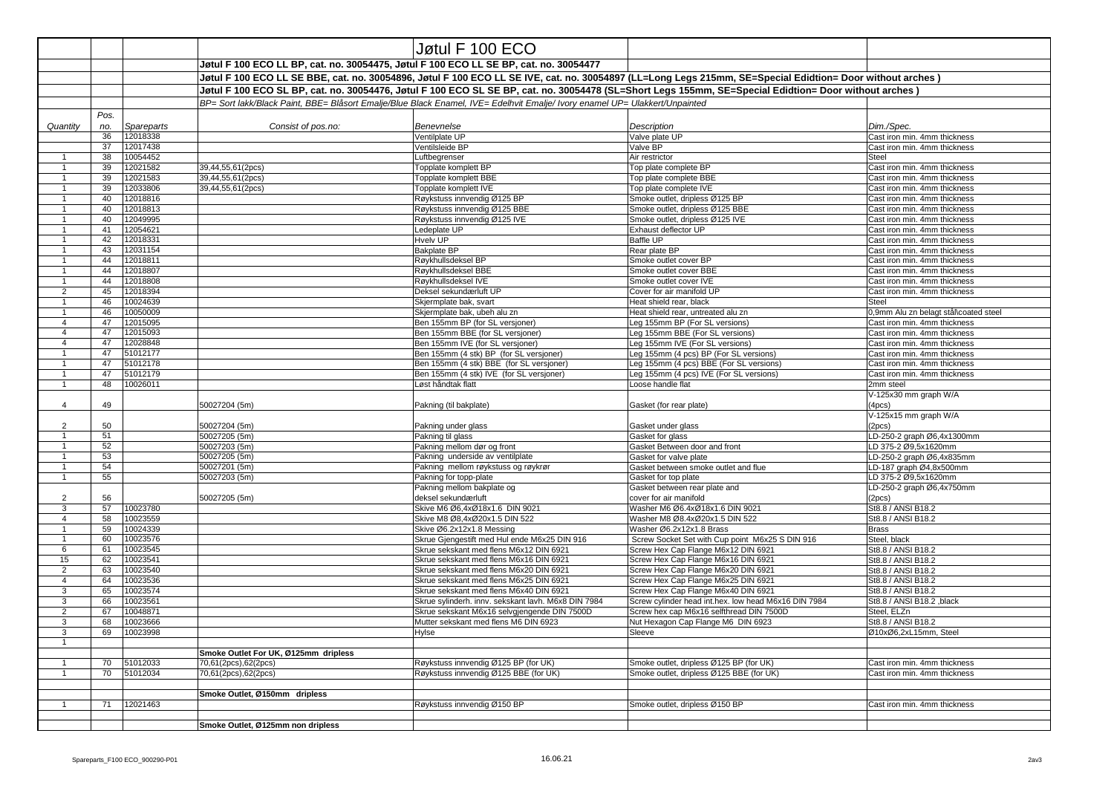|                |          |                      |                                                                                                                                                           | Jøtul F 100 ECO                                                                                                             |                                                                             |                                                              |  |
|----------------|----------|----------------------|-----------------------------------------------------------------------------------------------------------------------------------------------------------|-----------------------------------------------------------------------------------------------------------------------------|-----------------------------------------------------------------------------|--------------------------------------------------------------|--|
|                |          |                      |                                                                                                                                                           |                                                                                                                             |                                                                             |                                                              |  |
|                |          |                      | Jøtul F 100 ECO LL BP, cat. no. 30054475, Jøtul F 100 ECO LL SE BP, cat. no. 30054477                                                                     |                                                                                                                             |                                                                             |                                                              |  |
|                |          |                      | Jøtul F 100 ECO LL SE BBE, cat. no. 30054896, Jøtul F 100 ECO LL SE IVE, cat. no. 30054897 (LL=Long Legs 215mm, SE=Special Edidtion= Door without arches) |                                                                                                                             |                                                                             |                                                              |  |
|                |          |                      | Jøtul F 100 ECO SL BP, cat. no. 30054476, Jøtul F 100 ECO SL SE BP, cat. no. 30054478 (SL=Short Legs 155mm, SE=Special Edidtion= Door without arches)     |                                                                                                                             |                                                                             |                                                              |  |
|                |          |                      |                                                                                                                                                           | BP= Sort lakk/Black Paint, BBE= Blåsort Emalje/Blue Black Enamel, IVE= Edelhvit Emalje/ Ivory enamel UP= Ulakkert/Unpainted |                                                                             |                                                              |  |
|                | Pos.     |                      |                                                                                                                                                           |                                                                                                                             |                                                                             |                                                              |  |
| Quantity       | no.      | Spareparts           | Consist of pos.no:                                                                                                                                        | Benevnelse                                                                                                                  | Description                                                                 | Dim./Spec.                                                   |  |
|                | 36<br>37 | 12018338<br>12017438 |                                                                                                                                                           | Ventilplate UP<br>Ventilsleide BP                                                                                           | Valve plate UP<br>Valve BP                                                  | Cast iron min. 4mm thickness<br>Cast iron min. 4mm thickness |  |
|                | 38       | 10054452             |                                                                                                                                                           | Luftbegrenser                                                                                                               | Air restrictor                                                              | Steel                                                        |  |
|                | 39       | 12021582             | 39,44,55,61(2pcs)                                                                                                                                         | Topplate komplett BP                                                                                                        | Top plate complete BP                                                       | Cast iron min. 4mm thickness                                 |  |
|                | 39       | 12021583             | 39,44,55,61(2pcs)                                                                                                                                         | Topplate komplett BBE                                                                                                       | Top plate complete BBE                                                      | Cast iron min. 4mm thickness                                 |  |
|                | 39       | 12033806             | 39,44,55,61(2pcs)                                                                                                                                         | Topplate komplett IVE                                                                                                       | Top plate complete IVE                                                      | Cast iron min. 4mm thickness                                 |  |
|                | 40       | 12018816             |                                                                                                                                                           | Røykstuss innvendig Ø125 BP                                                                                                 | Smoke outlet, dripless Ø125 BP                                              | Cast iron min. 4mm thickness                                 |  |
|                | 40       | 12018813             |                                                                                                                                                           | Røykstuss innvendig Ø125 BBE                                                                                                | Smoke outlet, dripless Ø125 BBE                                             | Cast iron min. 4mm thickness                                 |  |
|                | 40       | 12049995             |                                                                                                                                                           | Røykstuss innvendig Ø125 IVE                                                                                                | Smoke outlet, dripless Ø125 IVE                                             | Cast iron min. 4mm thickness                                 |  |
|                | -41      | 12054621             |                                                                                                                                                           | Ledeplate UP                                                                                                                | <b>Exhaust deflector UP</b>                                                 | Cast iron min. 4mm thickness                                 |  |
|                | 42       | 12018331             |                                                                                                                                                           | <b>Hvelv UP</b>                                                                                                             | <b>Baffle UP</b>                                                            | Cast iron min. 4mm thickness                                 |  |
|                | 43<br>44 | 12031154<br>12018811 |                                                                                                                                                           | <b>Bakplate BP</b><br>Røykhullsdeksel BP                                                                                    | Rear plate BP<br>Smoke outlet cover BP                                      | Cast iron min. 4mm thickness<br>Cast iron min. 4mm thickness |  |
|                | 44       | 12018807             |                                                                                                                                                           | Røykhullsdeksel BBE                                                                                                         | Smoke outlet cover BBE                                                      | Cast iron min. 4mm thickness                                 |  |
|                | 44       | 12018808             |                                                                                                                                                           | Røykhullsdeksel IVE                                                                                                         | Smoke outlet cover IVE                                                      | Cast iron min. 4mm thickness                                 |  |
| 2              | 45       | 12018394             |                                                                                                                                                           | Deksel sekundærluft UP                                                                                                      | Cover for air manifold UP                                                   | Cast iron min. 4mm thickness                                 |  |
|                | 46       | 10024639             |                                                                                                                                                           | Skjermplate bak, svart                                                                                                      | Heat shield rear, black                                                     | Steel                                                        |  |
|                | 46       | 10050009             |                                                                                                                                                           | Skjermplate bak, ubeh alu zn                                                                                                | Heat shield rear, untreated alu zn                                          | 0,9mm Alu zn belagt stål\coated steel                        |  |
|                | 47       | 12015095             |                                                                                                                                                           | Ben 155mm BP (for SL versjoner)                                                                                             | Leg 155mm BP (For SL versions)                                              | Cast iron min. 4mm thickness                                 |  |
|                | 47       | 12015093             |                                                                                                                                                           | Ben 155mm BBE (for SL versjoner)                                                                                            | Leg 155mm BBE (For SL versions)                                             | Cast iron min. 4mm thickness                                 |  |
|                | 47       | 12028848             |                                                                                                                                                           | Ben 155mm IVE (for SL versjoner)                                                                                            | Leg 155mm IVE (For SL versions)                                             | Cast iron min. 4mm thickness                                 |  |
|                | 47       | 51012177             |                                                                                                                                                           | Ben 155mm (4 stk) BP (for SL versjoner)                                                                                     | Leg 155mm (4 pcs) BP (For SL versions)                                      | Cast iron min. 4mm thickness                                 |  |
|                | 47       | 51012178             |                                                                                                                                                           | Ben 155mm (4 stk) BBE (for SL versjoner)                                                                                    | Leg 155mm (4 pcs) BBE (For SL versions)                                     | Cast iron min. 4mm thickness                                 |  |
|                | 47<br>48 | 51012179<br>10026011 |                                                                                                                                                           | Ben 155mm (4 stk) IVE (for SL versjoner)<br>Løst håndtak flatt                                                              | Leg 155mm (4 pcs) IVE (For SL versions)<br>Loose handle flat                | Cast iron min. 4mm thickness<br>2mm steel                    |  |
|                |          |                      |                                                                                                                                                           |                                                                                                                             |                                                                             | V-125x30 mm graph W/A                                        |  |
|                | 49       |                      | 50027204 (5m)                                                                                                                                             | Pakning (til bakplate)                                                                                                      | Gasket (for rear plate)                                                     | (4 <sub>DCS</sub> )                                          |  |
|                |          |                      |                                                                                                                                                           |                                                                                                                             |                                                                             | V-125x15 mm graph W/A                                        |  |
| $\overline{2}$ | 50<br>51 |                      | 50027204 (5m)<br>50027205 (5m)                                                                                                                            | Pakning under glass                                                                                                         | Gasket under glass<br>Gasket for glass                                      | (2 <sub>pc</sub> s)<br>LD-250-2 graph Ø6,4x1300mm            |  |
|                | 52       |                      | 50027203 (5m)                                                                                                                                             | Pakning til glass<br>Pakning mellom dør og front                                                                            | Gasket Between door and front                                               | LD 375-2 Ø9,5x1620mm                                         |  |
|                | 53       |                      | 50027205 (5m)                                                                                                                                             | Pakning underside av ventilplate                                                                                            | Gasket for valve plate                                                      | LD-250-2 graph Ø6,4x835mm                                    |  |
|                | 54       |                      | 50027201 (5m)                                                                                                                                             | Pakning mellom røykstuss og røykrør                                                                                         | Gasket between smoke outlet and flue                                        | LD-187 graph Ø4,8x500mm                                      |  |
|                | 55       |                      | 50027203 (5m)                                                                                                                                             | Pakning for topp-plate                                                                                                      | Gasket for top plate                                                        | LD 375-2 Ø9,5x1620mm                                         |  |
|                |          |                      |                                                                                                                                                           | Pakning mellom bakplate og                                                                                                  | Gasket between rear plate and                                               | LD-250-2 graph Ø6,4x750mm                                    |  |
| $\overline{2}$ | 56       |                      | 50027205 (5m)                                                                                                                                             | deksel sekundærluft                                                                                                         | cover for air manifold                                                      | (2 <sub>pcs</sub> )                                          |  |
| 3              | 57       | 10023780             |                                                                                                                                                           | Skive M6 Ø6,4xØ18x1.6 DIN 9021                                                                                              | Washer M6 Ø6.4xØ18x1.6 DIN 9021                                             | St8.8 / ANSI B18.2                                           |  |
|                | 58       | 10023559             |                                                                                                                                                           | Skive M8 Ø8,4xØ20x1.5 DIN 522                                                                                               | Washer M8 Ø8.4xØ20x1.5 DIN 522                                              | St8.8 / ANSI B18.2                                           |  |
|                | 59<br>60 | 10024339<br>10023576 |                                                                                                                                                           | Skive Ø6.2x12x1.8 Messing<br>Skrue Gjengestift med Hul ende M6x25 DIN 916                                                   | Washer Ø6.2x12x1.8 Brass<br>Screw Socket Set with Cup point M6x25 S DIN 916 | Brass<br>Steel, black                                        |  |
| 6              | 61       | 10023545             |                                                                                                                                                           | Skrue sekskant med flens M6x12 DIN 6921                                                                                     | Screw Hex Cap Flange M6x12 DIN 6921                                         | St8.8 / ANSI B18.2                                           |  |
| 15             | 62       | 10023541             |                                                                                                                                                           | Skrue sekskant med flens M6x16 DIN 6921                                                                                     | Screw Hex Cap Flange M6x16 DIN 6921                                         | St8.8 / ANSI B18.2                                           |  |
| $\mathbf{2}$   | 63       | 10023540             |                                                                                                                                                           | Skrue sekskant med flens M6x20 DIN 6921                                                                                     | Screw Hex Cap Flange M6x20 DIN 6921                                         | St8.8 / ANSI B18.2                                           |  |
|                | 64       | 10023536             |                                                                                                                                                           | Skrue sekskant med flens M6x25 DIN 6921                                                                                     | Screw Hex Cap Flange M6x25 DIN 6921                                         | St8.8 / ANSI B18.2                                           |  |
| 3              | 65       | 10023574             |                                                                                                                                                           | Skrue sekskant med flens M6x40 DIN 6921                                                                                     | Screw Hex Cap Flange M6x40 DIN 6921                                         | St8.8 / ANSI B18.2                                           |  |
| 3              | 66       | 10023561             |                                                                                                                                                           | Skrue sylinderh. innv. sekskant lavh. M6x8 DIN 7984                                                                         | Screw cylinder head int.hex. low head M6x16 DIN 7984                        | St8.8 / ANSI B18.2, black                                    |  |
| $\overline{2}$ | 67       | 10048871             |                                                                                                                                                           | Skrue sekskant M6x16 selvgjengende DIN 7500D                                                                                | Screw hex cap M6x16 selfthread DIN 7500D                                    | Steel, ELZn                                                  |  |
| 3              | 68       | 10023666             |                                                                                                                                                           | Mutter sekskant med flens M6 DIN 6923                                                                                       | Nut Hexagon Cap Flange M6 DIN 6923                                          | St8.8 / ANSI B18.2                                           |  |
| 3              | 69       | 10023998             |                                                                                                                                                           | Hylse                                                                                                                       | Sleeve                                                                      | Ø10xØ6,2xL15mm, Steel                                        |  |
|                |          |                      | Smoke Outlet For UK, Ø125mm dripless                                                                                                                      |                                                                                                                             |                                                                             |                                                              |  |
|                | 70       | 51012033             | 70,61(2pcs),62(2pcs)                                                                                                                                      | Røykstuss innvendig Ø125 BP (for UK)                                                                                        | Smoke outlet, dripless Ø125 BP (for UK)                                     | Cast iron min. 4mm thickness                                 |  |
|                | 70       | 51012034             | 70,61(2pcs),62(2pcs)                                                                                                                                      | Røykstuss innvendig Ø125 BBE (for UK)                                                                                       | Smoke outlet, dripless Ø125 BBE (for UK)                                    | Cast iron min. 4mm thickness                                 |  |
|                |          |                      |                                                                                                                                                           |                                                                                                                             |                                                                             |                                                              |  |
|                |          |                      | Smoke Outlet, Ø150mm dripless                                                                                                                             |                                                                                                                             |                                                                             |                                                              |  |
|                | 71       | 12021463             |                                                                                                                                                           | Røykstuss innvendig Ø150 BP                                                                                                 | Smoke outlet, dripless Ø150 BP                                              | Cast iron min. 4mm thickness                                 |  |
|                |          |                      |                                                                                                                                                           |                                                                                                                             |                                                                             |                                                              |  |
|                |          |                      | Smoke Outlet, Ø125mm non dripless                                                                                                                         |                                                                                                                             |                                                                             |                                                              |  |